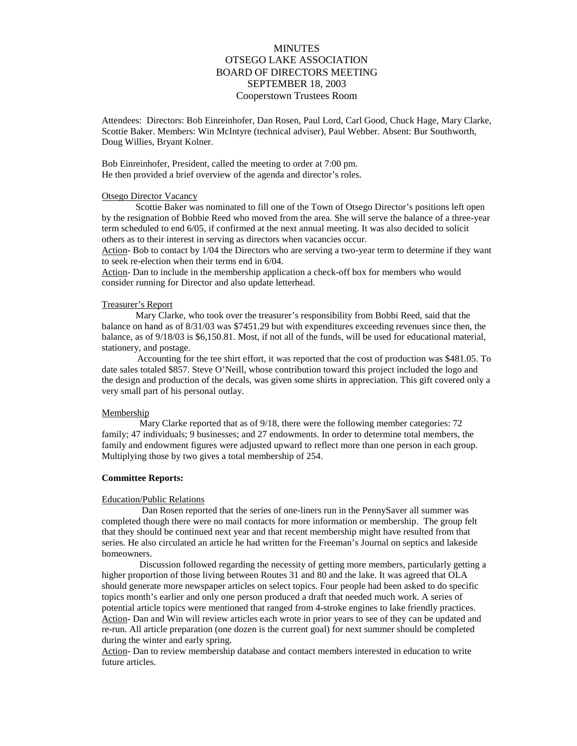# **MINUTES** OTSEGO LAKE ASSOCIATION BOARD OF DIRECTORS MEETING SEPTEMBER 18, 2003 Cooperstown Trustees Room

Attendees: Directors: Bob Einreinhofer, Dan Rosen, Paul Lord, Carl Good, Chuck Hage, Mary Clarke, Scottie Baker. Members: Win McIntyre (technical adviser), Paul Webber. Absent: Bur Southworth, Doug Willies, Bryant Kolner.

Bob Einreinhofer, President, called the meeting to order at 7:00 pm. He then provided a brief overview of the agenda and director's roles.

### Otsego Director Vacancy

Scottie Baker was nominated to fill one of the Town of Otsego Director's positions left open by the resignation of Bobbie Reed who moved from the area. She will serve the balance of a three-year term scheduled to end 6/05, if confirmed at the next annual meeting. It was also decided to solicit others as to their interest in serving as directors when vacancies occur.

Action- Bob to contact by 1/04 the Directors who are serving a two-year term to determine if they want to seek re-election when their terms end in 6/04.

Action- Dan to include in the membership application a check-off box for members who would consider running for Director and also update letterhead.

## Treasurer's Report

Mary Clarke, who took over the treasurer's responsibility from Bobbi Reed, said that the balance on hand as of 8/31/03 was \$7451.29 but with expenditures exceeding revenues since then, the balance, as of 9/18/03 is \$6,150.81. Most, if not all of the funds, will be used for educational material, stationery, and postage.

 Accounting for the tee shirt effort, it was reported that the cost of production was \$481.05. To date sales totaled \$857. Steve O'Neill, whose contribution toward this project included the logo and the design and production of the decals, was given some shirts in appreciation. This gift covered only a very small part of his personal outlay.

### Membership

 Mary Clarke reported that as of 9/18, there were the following member categories: 72 family; 47 individuals; 9 businesses; and 27 endowments. In order to determine total members, the family and endowment figures were adjusted upward to reflect more than one person in each group. Multiplying those by two gives a total membership of 254.

## **Committee Reports:**

#### Education/Public Relations

 Dan Rosen reported that the series of one-liners run in the PennySaver all summer was completed though there were no mail contacts for more information or membership. The group felt that they should be continued next year and that recent membership might have resulted from that series. He also circulated an article he had written for the Freeman's Journal on septics and lakeside homeowners.

 Discussion followed regarding the necessity of getting more members, particularly getting a higher proportion of those living between Routes 31 and 80 and the lake. It was agreed that OLA should generate more newspaper articles on select topics. Four people had been asked to do specific topics month's earlier and only one person produced a draft that needed much work. A series of potential article topics were mentioned that ranged from 4-stroke engines to lake friendly practices. Action- Dan and Win will review articles each wrote in prior years to see of they can be updated and re-run. All article preparation (one dozen is the current goal) for next summer should be completed during the winter and early spring.

Action- Dan to review membership database and contact members interested in education to write future articles.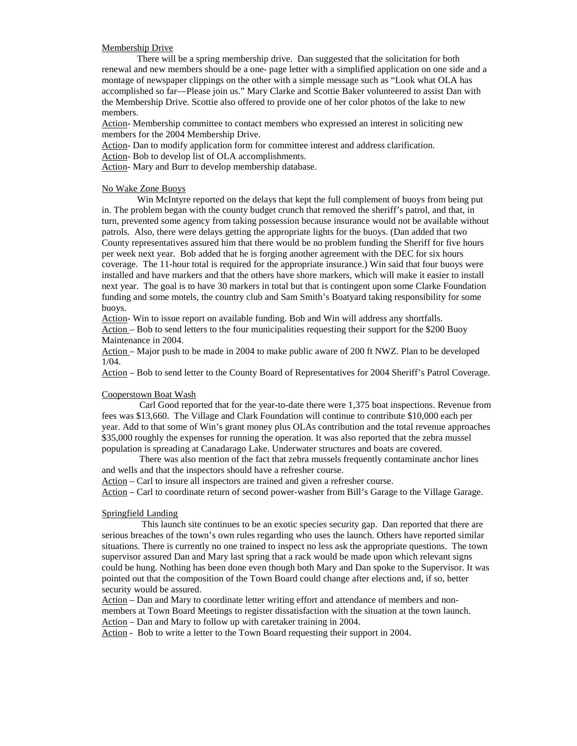## Membership Drive

 There will be a spring membership drive. Dan suggested that the solicitation for both renewal and new members should be a one- page letter with a simplified application on one side and a montage of newspaper clippings on the other with a simple message such as "Look what OLA has accomplished so far—Please join us." Mary Clarke and Scottie Baker volunteered to assist Dan with the Membership Drive. Scottie also offered to provide one of her color photos of the lake to new members.

Action- Membership committee to contact members who expressed an interest in soliciting new members for the 2004 Membership Drive.

Action- Dan to modify application form for committee interest and address clarification.

Action- Bob to develop list of OLA accomplishments.

Action- Mary and Burr to develop membership database.

## No Wake Zone Buoys

 Win McIntyre reported on the delays that kept the full complement of buoys from being put in. The problem began with the county budget crunch that removed the sheriff's patrol, and that, in turn, prevented some agency from taking possession because insurance would not be available without patrols. Also, there were delays getting the appropriate lights for the buoys. (Dan added that two County representatives assured him that there would be no problem funding the Sheriff for five hours per week next year. Bob added that he is forging another agreement with the DEC for six hours coverage. The 11-hour total is required for the appropriate insurance.) Win said that four buoys were installed and have markers and that the others have shore markers, which will make it easier to install next year. The goal is to have 30 markers in total but that is contingent upon some Clarke Foundation funding and some motels, the country club and Sam Smith's Boatyard taking responsibility for some buoys.

Action- Win to issue report on available funding. Bob and Win will address any shortfalls. Action – Bob to send letters to the four municipalities requesting their support for the \$200 Buoy Maintenance in 2004.

Action – Major push to be made in 2004 to make public aware of 200 ft NWZ. Plan to be developed 1/04.

Action – Bob to send letter to the County Board of Representatives for 2004 Sheriff's Patrol Coverage.

## Cooperstown Boat Wash

 Carl Good reported that for the year-to-date there were 1,375 boat inspections. Revenue from fees was \$13,660. The Village and Clark Foundation will continue to contribute \$10,000 each per year. Add to that some of Win's grant money plus OLAs contribution and the total revenue approaches \$35,000 roughly the expenses for running the operation. It was also reported that the zebra mussel population is spreading at Canadarago Lake. Underwater structures and boats are covered.

 There was also mention of the fact that zebra mussels frequently contaminate anchor lines and wells and that the inspectors should have a refresher course.

Action – Carl to insure all inspectors are trained and given a refresher course.

Action – Carl to coordinate return of second power-washer from Bill's Garage to the Village Garage.

## Springfield Landing

 This launch site continues to be an exotic species security gap. Dan reported that there are serious breaches of the town's own rules regarding who uses the launch. Others have reported similar situations. There is currently no one trained to inspect no less ask the appropriate questions. The town supervisor assured Dan and Mary last spring that a rack would be made upon which relevant signs could be hung. Nothing has been done even though both Mary and Dan spoke to the Supervisor. It was pointed out that the composition of the Town Board could change after elections and, if so, better security would be assured.

Action – Dan and Mary to coordinate letter writing effort and attendance of members and nonmembers at Town Board Meetings to register dissatisfaction with the situation at the town launch. Action – Dan and Mary to follow up with caretaker training in 2004.

Action - Bob to write a letter to the Town Board requesting their support in 2004.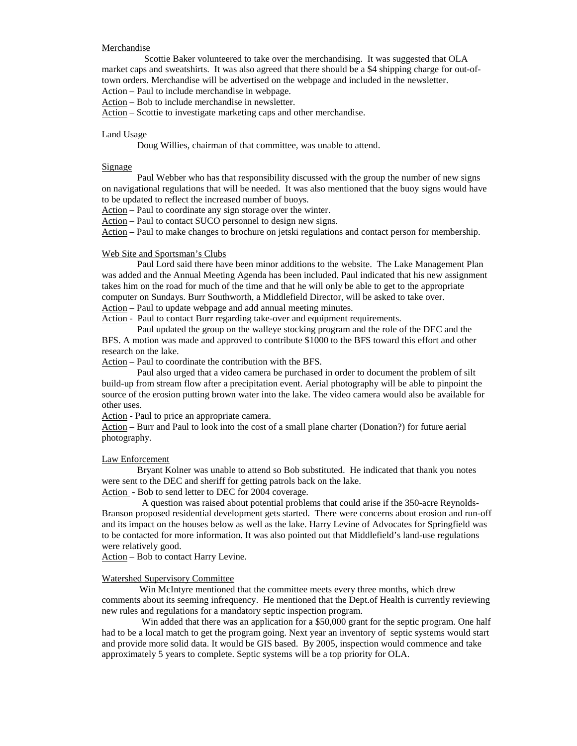#### Merchandise

 Scottie Baker volunteered to take over the merchandising. It was suggested that OLA market caps and sweatshirts. It was also agreed that there should be a \$4 shipping charge for out-oftown orders. Merchandise will be advertised on the webpage and included in the newsletter. Action – Paul to include merchandise in webpage.

Action – Bob to include merchandise in newsletter.

Action – Scottie to investigate marketing caps and other merchandise.

#### Land Usage

Doug Willies, chairman of that committee, was unable to attend.

## Signage

 Paul Webber who has that responsibility discussed with the group the number of new signs on navigational regulations that will be needed. It was also mentioned that the buoy signs would have to be updated to reflect the increased number of buoys.

Action – Paul to coordinate any sign storage over the winter.

Action – Paul to contact SUCO personnel to design new signs.

Action – Paul to make changes to brochure on jetski regulations and contact person for membership.

## Web Site and Sportsman's Clubs

 Paul Lord said there have been minor additions to the website. The Lake Management Plan was added and the Annual Meeting Agenda has been included. Paul indicated that his new assignment takes him on the road for much of the time and that he will only be able to get to the appropriate computer on Sundays. Burr Southworth, a Middlefield Director, will be asked to take over. Action – Paul to update webpage and add annual meeting minutes.

Action - Paul to contact Burr regarding take-over and equipment requirements.

 Paul updated the group on the walleye stocking program and the role of the DEC and the BFS. A motion was made and approved to contribute \$1000 to the BFS toward this effort and other research on the lake.

Action – Paul to coordinate the contribution with the BFS.

 Paul also urged that a video camera be purchased in order to document the problem of silt build-up from stream flow after a precipitation event. Aerial photography will be able to pinpoint the source of the erosion putting brown water into the lake. The video camera would also be available for other uses.

Action - Paul to price an appropriate camera.

Action – Burr and Paul to look into the cost of a small plane charter (Donation?) for future aerial photography.

#### Law Enforcement

 Bryant Kolner was unable to attend so Bob substituted. He indicated that thank you notes were sent to the DEC and sheriff for getting patrols back on the lake. Action - Bob to send letter to DEC for 2004 coverage.

 A question was raised about potential problems that could arise if the 350-acre Reynolds-Branson proposed residential development gets started. There were concerns about erosion and run-off

and its impact on the houses below as well as the lake. Harry Levine of Advocates for Springfield was to be contacted for more information. It was also pointed out that Middlefield's land-use regulations were relatively good.

Action – Bob to contact Harry Levine.

#### Watershed Supervisory Committee

 Win McIntyre mentioned that the committee meets every three months, which drew comments about its seeming infrequency. He mentioned that the Dept.of Health is currently reviewing new rules and regulations for a mandatory septic inspection program.

Win added that there was an application for a \$50,000 grant for the septic program. One half had to be a local match to get the program going. Next year an inventory of septic systems would start and provide more solid data. It would be GIS based. By 2005, inspection would commence and take approximately 5 years to complete. Septic systems will be a top priority for OLA.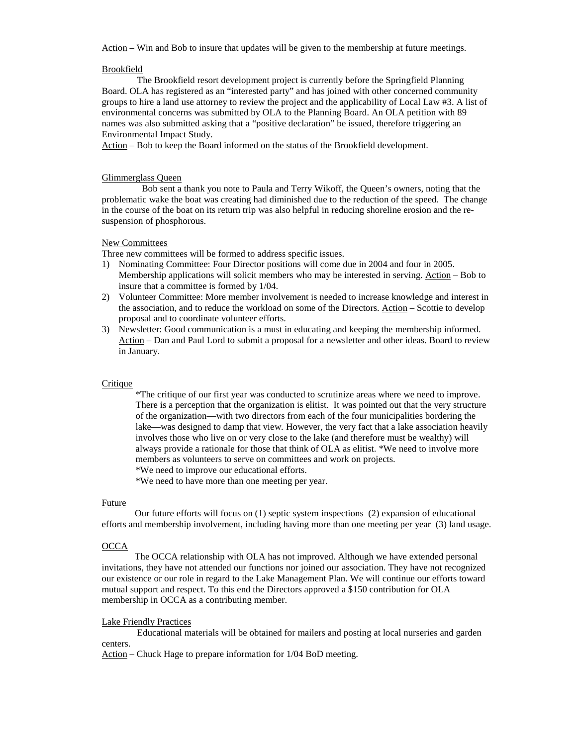Action – Win and Bob to insure that updates will be given to the membership at future meetings.

## Brookfield

 The Brookfield resort development project is currently before the Springfield Planning Board. OLA has registered as an "interested party" and has joined with other concerned community groups to hire a land use attorney to review the project and the applicability of Local Law #3. A list of environmental concerns was submitted by OLA to the Planning Board. An OLA petition with 89 names was also submitted asking that a "positive declaration" be issued, therefore triggering an Environmental Impact Study.

Action – Bob to keep the Board informed on the status of the Brookfield development.

### Glimmerglass Queen

 Bob sent a thank you note to Paula and Terry Wikoff, the Queen's owners, noting that the problematic wake the boat was creating had diminished due to the reduction of the speed. The change in the course of the boat on its return trip was also helpful in reducing shoreline erosion and the resuspension of phosphorous.

### New Committees

Three new committees will be formed to address specific issues.

- 1) Nominating Committee: Four Director positions will come due in 2004 and four in 2005. Membership applications will solicit members who may be interested in serving. Action – Bob to insure that a committee is formed by 1/04.
- 2) Volunteer Committee: More member involvement is needed to increase knowledge and interest in the association, and to reduce the workload on some of the Directors. Action – Scottie to develop proposal and to coordinate volunteer efforts.
- 3) Newsletter: Good communication is a must in educating and keeping the membership informed. Action – Dan and Paul Lord to submit a proposal for a newsletter and other ideas. Board to review in January.

### **Critique**

\*The critique of our first year was conducted to scrutinize areas where we need to improve. There is a perception that the organization is elitist. It was pointed out that the very structure of the organization—with two directors from each of the four municipalities bordering the lake—was designed to damp that view. However, the very fact that a lake association heavily involves those who live on or very close to the lake (and therefore must be wealthy) will always provide a rationale for those that think of OLA as elitist. \*We need to involve more members as volunteers to serve on committees and work on projects.

\*We need to improve our educational efforts.

\*We need to have more than one meeting per year.

### Future

 Our future efforts will focus on (1) septic system inspections (2) expansion of educational efforts and membership involvement, including having more than one meeting per year (3) land usage.

### **OCCA**

 The OCCA relationship with OLA has not improved. Although we have extended personal invitations, they have not attended our functions nor joined our association. They have not recognized our existence or our role in regard to the Lake Management Plan. We will continue our efforts toward mutual support and respect. To this end the Directors approved a \$150 contribution for OLA membership in OCCA as a contributing member.

## Lake Friendly Practices

 Educational materials will be obtained for mailers and posting at local nurseries and garden centers.

Action – Chuck Hage to prepare information for 1/04 BoD meeting.